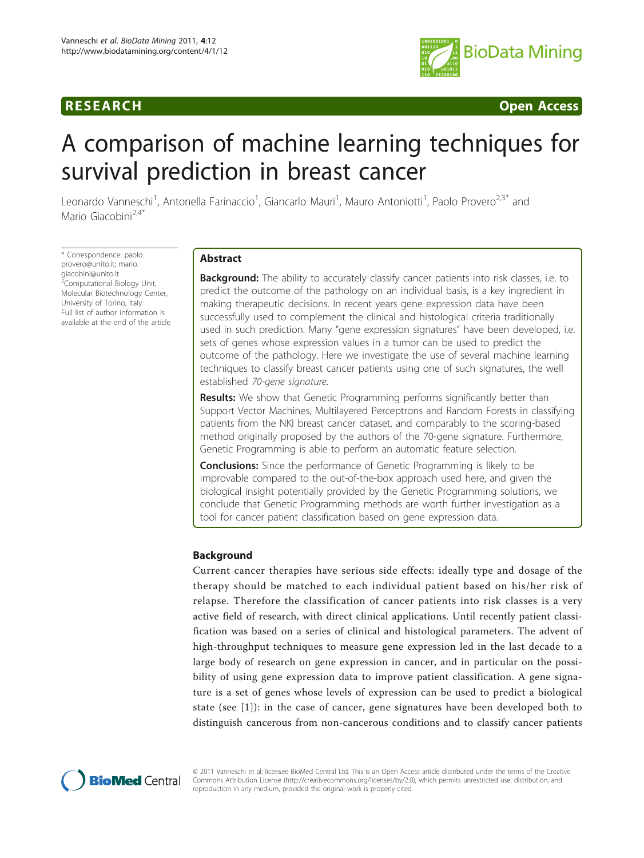

**RESEARCH CONSTRUCTION CONSTRUCTS** 

# A comparison of machine learning techniques for survival prediction in breast cancer

Leonardo Vanneschi<sup>1</sup>, Antonella Farinaccio<sup>1</sup>, Giancarlo Mauri<sup>1</sup>, Mauro Antoniotti<sup>1</sup>, Paolo Provero<sup>2,3\*</sup> and Mario Giacobini<sup>2,4\*</sup>

\* Correspondence: [paolo.](mailto:paolo.provero@unito.it) [provero@unito.it](mailto:paolo.provero@unito.it); [mario.](mailto:mario.giacobini@unito.it) [giacobini@unito.it](mailto:mario.giacobini@unito.it) <sup>2</sup> Computational Biology Unit, Molecular Biotechnology Center, University of Torino, Italy Full list of author information is available at the end of the article

# **Abstract**

**Background:** The ability to accurately classify cancer patients into risk classes, i.e. to predict the outcome of the pathology on an individual basis, is a key ingredient in making therapeutic decisions. In recent years gene expression data have been successfully used to complement the clinical and histological criteria traditionally used in such prediction. Many "gene expression signatures" have been developed, i.e. sets of genes whose expression values in a tumor can be used to predict the outcome of the pathology. Here we investigate the use of several machine learning techniques to classify breast cancer patients using one of such signatures, the well established 70-gene signature.

**Results:** We show that Genetic Programming performs significantly better than Support Vector Machines, Multilayered Perceptrons and Random Forests in classifying patients from the NKI breast cancer dataset, and comparably to the scoring-based method originally proposed by the authors of the 70-gene signature. Furthermore, Genetic Programming is able to perform an automatic feature selection.

**Conclusions:** Since the performance of Genetic Programming is likely to be improvable compared to the out-of-the-box approach used here, and given the biological insight potentially provided by the Genetic Programming solutions, we conclude that Genetic Programming methods are worth further investigation as a tool for cancer patient classification based on gene expression data.

# Background

Current cancer therapies have serious side effects: ideally type and dosage of the therapy should be matched to each individual patient based on his/her risk of relapse. Therefore the classification of cancer patients into risk classes is a very active field of research, with direct clinical applications. Until recently patient classification was based on a series of clinical and histological parameters. The advent of high-throughput techniques to measure gene expression led in the last decade to a large body of research on gene expression in cancer, and in particular on the possibility of using gene expression data to improve patient classification. A gene signature is a set of genes whose levels of expression can be used to predict a biological state (see [[1](#page-11-0)]): in the case of cancer, gene signatures have been developed both to distinguish cancerous from non-cancerous conditions and to classify cancer patients



© 2011 Vanneschi et al; licensee BioMed Central Ltd. This is an Open Access article distributed under the terms of the Creative Commons Attribution License [\(http://creativecommons.org/licenses/by/2.0](http://creativecommons.org/licenses/by/2.0)), which permits unrestricted use, distribution, and reproduction in any medium, provided the original work is properly cited.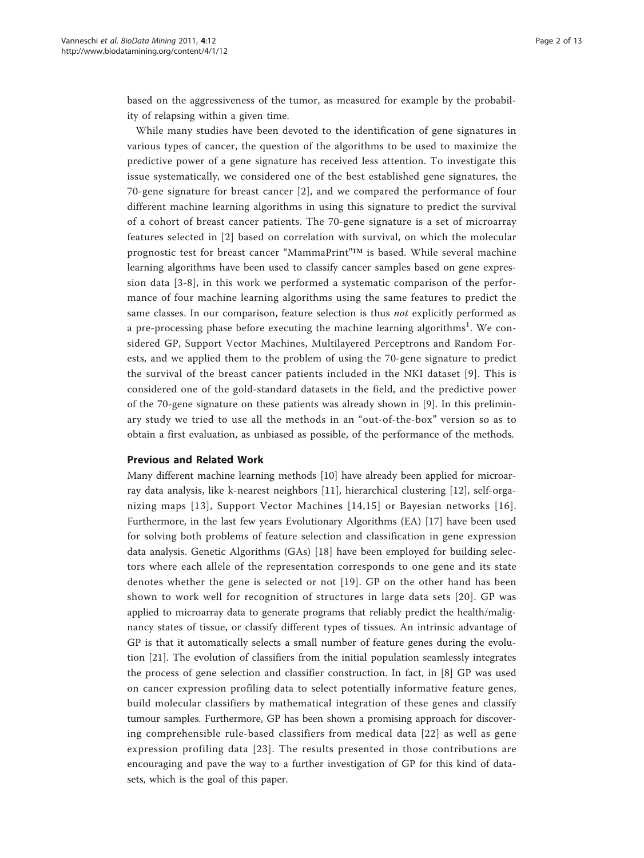based on the aggressiveness of the tumor, as measured for example by the probability of relapsing within a given time.

While many studies have been devoted to the identification of gene signatures in various types of cancer, the question of the algorithms to be used to maximize the predictive power of a gene signature has received less attention. To investigate this issue systematically, we considered one of the best established gene signatures, the 70-gene signature for breast cancer [\[2](#page-11-0)], and we compared the performance of four different machine learning algorithms in using this signature to predict the survival of a cohort of breast cancer patients. The 70-gene signature is a set of microarray features selected in [[2](#page-11-0)] based on correlation with survival, on which the molecular prognostic test for breast cancer "MammaPrint"™ is based. While several machine learning algorithms have been used to classify cancer samples based on gene expression data [[3](#page-11-0)-[8](#page-11-0)], in this work we performed a systematic comparison of the performance of four machine learning algorithms using the same features to predict the same classes. In our comparison, feature selection is thus *not* explicitly performed as a pre-processing phase before executing the machine learning algorithms<sup>1</sup>. We considered GP, Support Vector Machines, Multilayered Perceptrons and Random Forests, and we applied them to the problem of using the 70-gene signature to predict the survival of the breast cancer patients included in the NKI dataset [[9](#page-11-0)]. This is considered one of the gold-standard datasets in the field, and the predictive power of the 70-gene signature on these patients was already shown in [\[9](#page-11-0)]. In this preliminary study we tried to use all the methods in an "out-of-the-box" version so as to obtain a first evaluation, as unbiased as possible, of the performance of the methods.

# Previous and Related Work

Many different machine learning methods [[10](#page-11-0)] have already been applied for microarray data analysis, like k-nearest neighbors [[11\]](#page-12-0), hierarchical clustering [\[12](#page-12-0)], self-organizing maps [[13\]](#page-12-0), Support Vector Machines [[14,15](#page-12-0)] or Bayesian networks [[16\]](#page-12-0). Furthermore, in the last few years Evolutionary Algorithms (EA) [[17](#page-12-0)] have been used for solving both problems of feature selection and classification in gene expression data analysis. Genetic Algorithms (GAs) [\[18](#page-12-0)] have been employed for building selectors where each allele of the representation corresponds to one gene and its state denotes whether the gene is selected or not [\[19\]](#page-12-0). GP on the other hand has been shown to work well for recognition of structures in large data sets [[20\]](#page-12-0). GP was applied to microarray data to generate programs that reliably predict the health/malignancy states of tissue, or classify different types of tissues. An intrinsic advantage of GP is that it automatically selects a small number of feature genes during the evolution [[21\]](#page-12-0). The evolution of classifiers from the initial population seamlessly integrates the process of gene selection and classifier construction. In fact, in [[8](#page-11-0)] GP was used on cancer expression profiling data to select potentially informative feature genes, build molecular classifiers by mathematical integration of these genes and classify tumour samples. Furthermore, GP has been shown a promising approach for discovering comprehensible rule-based classifiers from medical data [[22](#page-12-0)] as well as gene expression profiling data [[23](#page-12-0)]. The results presented in those contributions are encouraging and pave the way to a further investigation of GP for this kind of datasets, which is the goal of this paper.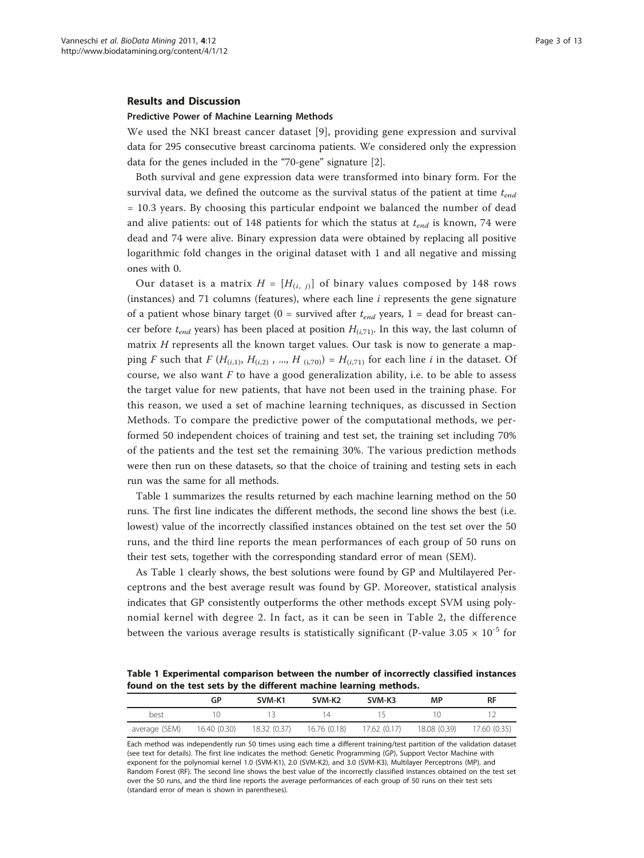#### Results and Discussion

#### Predictive Power of Machine Learning Methods

We used the NKI breast cancer dataset [[9](#page-11-0)], providing gene expression and survival data for 295 consecutive breast carcinoma patients. We considered only the expression data for the genes included in the "70-gene" signature [\[2](#page-11-0)].

Both survival and gene expression data were transformed into binary form. For the survival data, we defined the outcome as the survival status of the patient at time  $t_{end}$ = 10.3 years. By choosing this particular endpoint we balanced the number of dead and alive patients: out of 148 patients for which the status at  $t_{end}$  is known, 74 were dead and 74 were alive. Binary expression data were obtained by replacing all positive logarithmic fold changes in the original dataset with 1 and all negative and missing ones with 0.

Our dataset is a matrix  $H = [H_{(i,j)}]$  of binary values composed by 148 rows (instances) and 71 columns (features), where each line i represents the gene signature of a patient whose binary target (0 = survived after  $t_{end}$  years, 1 = dead for breast cancer before  $t_{end}$  years) has been placed at position  $H_{(i,71)}$ . In this way, the last column of matrix H represents all the known target values. Our task is now to generate a mapping F such that F  $(H_{(i,1)}, H_{(i,2)}, ..., H_{(i,70)}) = H_{(i,71)}$  for each line i in the dataset. Of course, we also want  $F$  to have a good generalization ability, i.e. to be able to assess the target value for new patients, that have not been used in the training phase. For this reason, we used a set of machine learning techniques, as discussed in Section Methods. To compare the predictive power of the computational methods, we performed 50 independent choices of training and test set, the training set including 70% of the patients and the test set the remaining 30%. The various prediction methods were then run on these datasets, so that the choice of training and testing sets in each run was the same for all methods.

Table 1 summarizes the results returned by each machine learning method on the 50 runs. The first line indicates the different methods, the second line shows the best (i.e. lowest) value of the incorrectly classified instances obtained on the test set over the 50 runs, and the third line reports the mean performances of each group of 50 runs on their test sets, together with the corresponding standard error of mean (SEM).

As Table 1 clearly shows, the best solutions were found by GP and Multilayered Perceptrons and the best average result was found by GP. Moreover, statistical analysis indicates that GP consistently outperforms the other methods except SVM using polynomial kernel with degree 2. In fact, as it can be seen in Table [2](#page-3-0), the difference between the various average results is statistically significant (P-value 3.05  $\times$  10<sup>-5</sup> for

Table 1 Experimental comparison between the number of incorrectly classified instances found on the test sets by the different machine learning methods.

|               | GP           | SVM-K1       | SVM-K <sub>2</sub> | SVM-K3      | <b>MP</b>    | RF           |
|---------------|--------------|--------------|--------------------|-------------|--------------|--------------|
| best          |              |              | Δ                  |             |              |              |
| average (SEM) | 16.40 (0.30) | 18.32 (0.37) | 16.76(0.18)        | 17.62(0.17) | 18.08 (0.39) | 17.60 (0.35) |

Each method was independently run 50 times using each time a different training/test partition of the validation dataset (see text for details). The first line indicates the method: Genetic Programming (GP), Support Vector Machine with exponent for the polynomial kernel 1.0 (SVM-K1), 2.0 (SVM-K2), and 3.0 (SVM-K3), Multilayer Perceptrons (MP), and Random Forest (RF). The second line shows the best value of the incorrectly classified instances obtained on the test set over the 50 runs, and the third line reports the average performances of each group of 50 runs on their test sets (standard error of mean is shown in parentheses).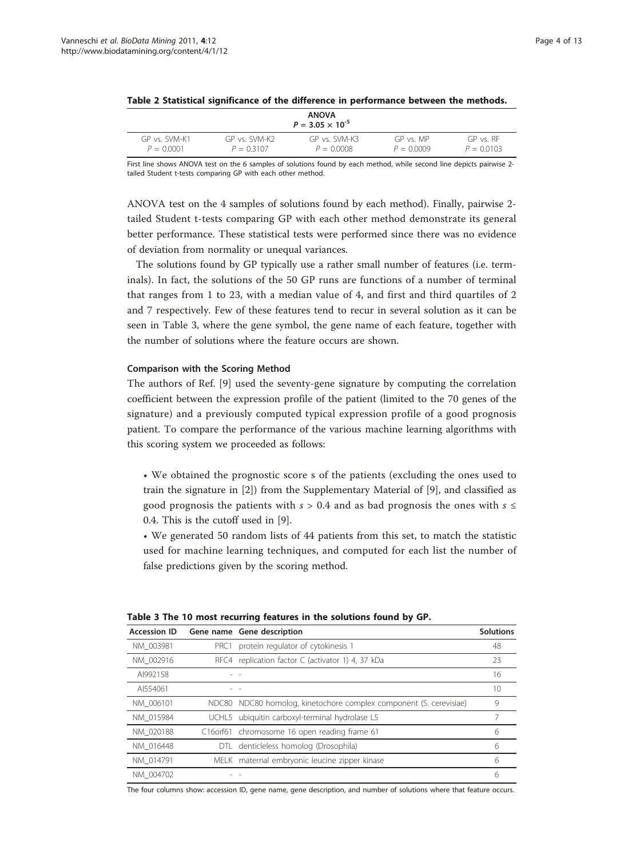|               |               | <b>ANOVA</b><br>$P = 3.05 \times 10^{-5}$ |              |              |
|---------------|---------------|-------------------------------------------|--------------|--------------|
| GP vs. SVM-K1 | GP vs. SVM-K2 | GP vs. SVM-K3                             | GP vs MP     | GP vs RF     |
| $P = 0.0001$  | $P = 0.3107$  | $P = 0.0008$                              | $P = 0.0009$ | $P = 0.0103$ |

<span id="page-3-0"></span>

|  |  |  | Table 2 Statistical significance of the difference in performance between the methods. |  |  |  |  |  |  |  |  |
|--|--|--|----------------------------------------------------------------------------------------|--|--|--|--|--|--|--|--|
|--|--|--|----------------------------------------------------------------------------------------|--|--|--|--|--|--|--|--|

First line shows ANOVA test on the 6 samples of solutions found by each method, while second line depicts pairwise 2 tailed Student t-tests comparing GP with each other method.

ANOVA test on the 4 samples of solutions found by each method). Finally, pairwise 2 tailed Student t-tests comparing GP with each other method demonstrate its general better performance. These statistical tests were performed since there was no evidence of deviation from normality or unequal variances.

The solutions found by GP typically use a rather small number of features (i.e. terminals). In fact, the solutions of the 50 GP runs are functions of a number of terminal that ranges from 1 to 23, with a median value of 4, and first and third quartiles of 2 and 7 respectively. Few of these features tend to recur in several solution as it can be seen in Table 3, where the gene symbol, the gene name of each feature, together with the number of solutions where the feature occurs are shown.

### Comparison with the Scoring Method

The authors of Ref. [[9\]](#page-11-0) used the seventy-gene signature by computing the correlation coefficient between the expression profile of the patient (limited to the 70 genes of the signature) and a previously computed typical expression profile of a good prognosis patient. To compare the performance of the various machine learning algorithms with this scoring system we proceeded as follows:

• We obtained the prognostic score s of the patients (excluding the ones used to train the signature in [[2\]](#page-11-0)) from the Supplementary Material of [[9\]](#page-11-0), and classified as good prognosis the patients with  $s > 0.4$  and as bad prognosis the ones with  $s \leq$ 0.4. This is the cutoff used in [[9\]](#page-11-0).

• We generated 50 random lists of 44 patients from this set, to match the statistic used for machine learning techniques, and computed for each list the number of false predictions given by the scoring method.

| <b>Accession ID</b> |      | Gene name Gene description                                         | <b>Solutions</b> |
|---------------------|------|--------------------------------------------------------------------|------------------|
| NM 003981           | PRC1 | protein regulator of cytokinesis 1                                 | 48               |
| NM 002916           |      | RFC4 replication factor C (activator 1) 4, 37 kDa                  | 23               |
| AI992158            |      |                                                                    | 16               |
| AI554061            |      |                                                                    | 10               |
| NM 006101           |      | NDC80 NDC80 homolog, kinetochore complex component (S. cerevisiae) | 9                |
| NM 015984           |      | UCHL5 ubiquitin carboxyl-terminal hydrolase L5                     |                  |
| NM 020188           |      | C16orf61 chromosome 16 open reading frame 61                       | 6                |
| NM 016448           |      | DTL denticleless homolog (Drosophila)                              | 6                |
| NM 014791           |      | MELK maternal embryonic leucine zipper kinase                      | 6                |
| NM 004702           |      |                                                                    | 6                |
|                     |      |                                                                    |                  |

Table 3 The 10 most recurring features in the solutions found by GP.

The four columns show: accession ID, gene name, gene description, and number of solutions where that feature occurs.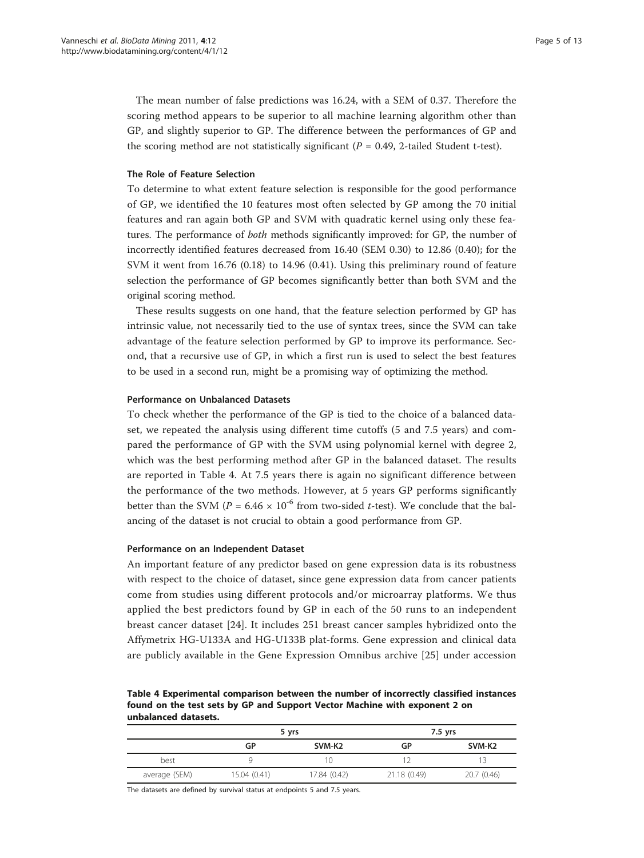The mean number of false predictions was 16.24, with a SEM of 0.37. Therefore the scoring method appears to be superior to all machine learning algorithm other than GP, and slightly superior to GP. The difference between the performances of GP and the scoring method are not statistically significant ( $P = 0.49$ , 2-tailed Student t-test).

# The Role of Feature Selection

To determine to what extent feature selection is responsible for the good performance of GP, we identified the 10 features most often selected by GP among the 70 initial features and ran again both GP and SVM with quadratic kernel using only these features. The performance of both methods significantly improved: for GP, the number of incorrectly identified features decreased from 16.40 (SEM 0.30) to 12.86 (0.40); for the SVM it went from 16.76 (0.18) to 14.96 (0.41). Using this preliminary round of feature selection the performance of GP becomes significantly better than both SVM and the original scoring method.

These results suggests on one hand, that the feature selection performed by GP has intrinsic value, not necessarily tied to the use of syntax trees, since the SVM can take advantage of the feature selection performed by GP to improve its performance. Second, that a recursive use of GP, in which a first run is used to select the best features to be used in a second run, might be a promising way of optimizing the method.

# Performance on Unbalanced Datasets

To check whether the performance of the GP is tied to the choice of a balanced dataset, we repeated the analysis using different time cutoffs (5 and 7.5 years) and compared the performance of GP with the SVM using polynomial kernel with degree 2, which was the best performing method after GP in the balanced dataset. The results are reported in Table 4. At 7.5 years there is again no significant difference between the performance of the two methods. However, at 5 years GP performs significantly better than the SVM ( $P = 6.46 \times 10^{-6}$  from two-sided *t*-test). We conclude that the balancing of the dataset is not crucial to obtain a good performance from GP.

# Performance on an Independent Dataset

An important feature of any predictor based on gene expression data is its robustness with respect to the choice of dataset, since gene expression data from cancer patients come from studies using different protocols and/or microarray platforms. We thus applied the best predictors found by GP in each of the 50 runs to an independent breast cancer dataset [[24](#page-12-0)]. It includes 251 breast cancer samples hybridized onto the Affymetrix HG-U133A and HG-U133B plat-forms. Gene expression and clinical data are publicly available in the Gene Expression Omnibus archive [[25](#page-12-0)] under accession

Table 4 Experimental comparison between the number of incorrectly classified instances found on the test sets by GP and Support Vector Machine with exponent 2 on unbalanced datasets.

|               |             | 5 yrs              | 7.5 yrs      |                    |
|---------------|-------------|--------------------|--------------|--------------------|
|               | GP          | SVM-K <sub>2</sub> | GP           | SVM-K <sub>2</sub> |
| best          |             |                    |              |                    |
| average (SEM) | 15.04(0.41) | 17.84 (0.42)       | 21.18 (0.49) | 20.7(0.46)         |

The datasets are defined by survival status at endpoints 5 and 7.5 years.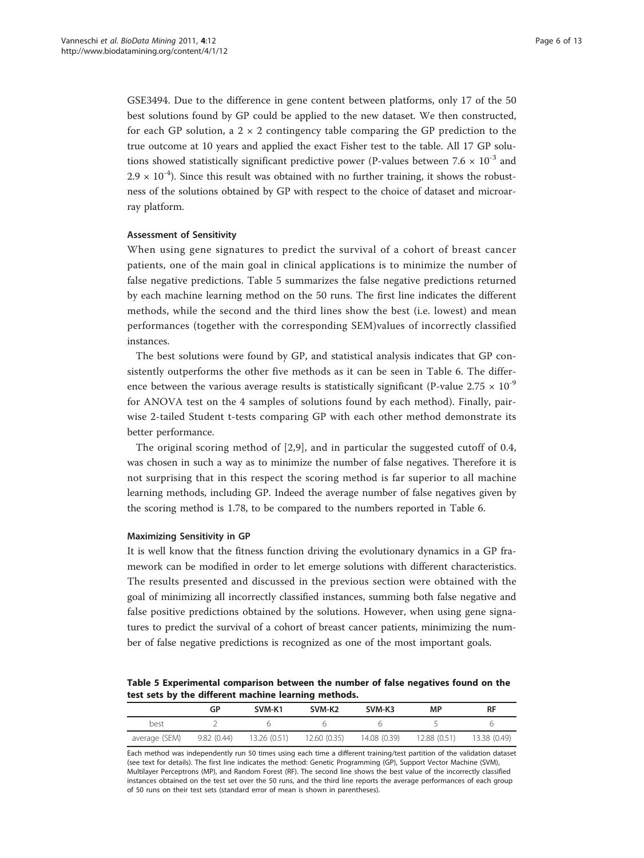GSE3494. Due to the difference in gene content between platforms, only 17 of the 50 best solutions found by GP could be applied to the new dataset. We then constructed, for each GP solution, a  $2 \times 2$  contingency table comparing the GP prediction to the true outcome at 10 years and applied the exact Fisher test to the table. All 17 GP solutions showed statistically significant predictive power (P-values between  $7.6 \times 10^{-3}$  and  $2.9 \times 10^{-4}$ ). Since this result was obtained with no further training, it shows the robustness of the solutions obtained by GP with respect to the choice of dataset and microarray platform.

# Assessment of Sensitivity

When using gene signatures to predict the survival of a cohort of breast cancer patients, one of the main goal in clinical applications is to minimize the number of false negative predictions. Table 5 summarizes the false negative predictions returned by each machine learning method on the 50 runs. The first line indicates the different methods, while the second and the third lines show the best (i.e. lowest) and mean performances (together with the corresponding SEM)values of incorrectly classified instances.

The best solutions were found by GP, and statistical analysis indicates that GP consistently outperforms the other five methods as it can be seen in Table [6](#page-6-0). The difference between the various average results is statistically significant (P-value 2.75  $\times$  10<sup>-9</sup> for ANOVA test on the 4 samples of solutions found by each method). Finally, pairwise 2-tailed Student t-tests comparing GP with each other method demonstrate its better performance.

The original scoring method of  $[2,9]$  $[2,9]$  $[2,9]$ , and in particular the suggested cutoff of 0.4, was chosen in such a way as to minimize the number of false negatives. Therefore it is not surprising that in this respect the scoring method is far superior to all machine learning methods, including GP. Indeed the average number of false negatives given by the scoring method is 1.78, to be compared to the numbers reported in Table [6](#page-6-0).

# Maximizing Sensitivity in GP

It is well know that the fitness function driving the evolutionary dynamics in a GP framework can be modified in order to let emerge solutions with different characteristics. The results presented and discussed in the previous section were obtained with the goal of minimizing all incorrectly classified instances, summing both false negative and false positive predictions obtained by the solutions. However, when using gene signatures to predict the survival of a cohort of breast cancer patients, minimizing the number of false negative predictions is recognized as one of the most important goals.

Table 5 Experimental comparison between the number of false negatives found on the test sets by the different machine learning methods.

|               | GP         | SVM-K1      | SVM-K <sub>2</sub> | SVM-K3       | <b>MP</b>    | RF           |
|---------------|------------|-------------|--------------------|--------------|--------------|--------------|
| best          |            |             |                    |              |              |              |
| average (SEM) | 9.82(0.44) | 13.26(0.51) | 12.60(0.35)        | 14.08 (0.39) | 12.88 (0.51) | 13.38 (0.49) |

Each method was independently run 50 times using each time a different training/test partition of the validation dataset (see text for details). The first line indicates the method: Genetic Programming (GP), Support Vector Machine (SVM), Multilayer Perceptrons (MP), and Random Forest (RF). The second line shows the best value of the incorrectly classified instances obtained on the test set over the 50 runs, and the third line reports the average performances of each group of 50 runs on their test sets (standard error of mean is shown in parentheses).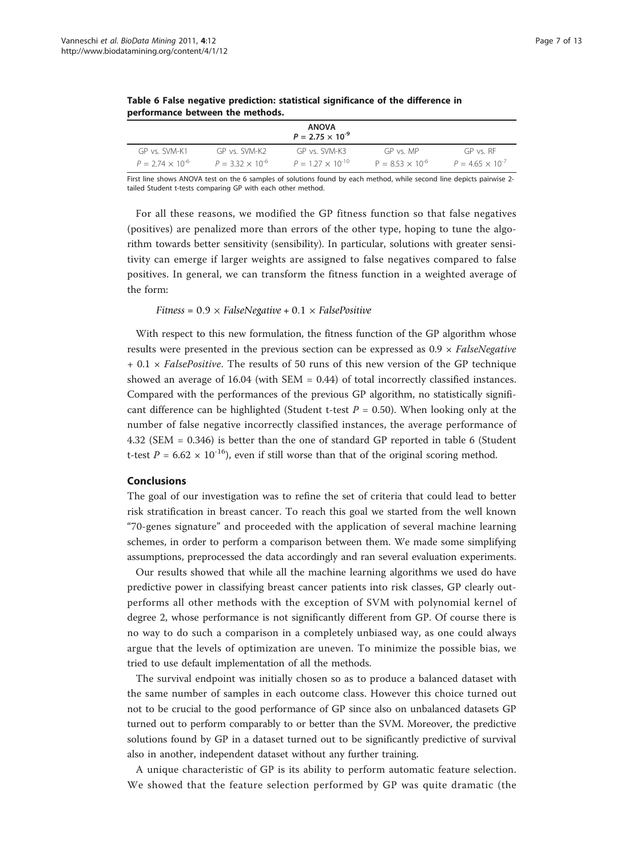|                           |                          | <b>ANOVA</b><br>$P = 2.75 \times 10^{-9}$ |                           |                          |
|---------------------------|--------------------------|-------------------------------------------|---------------------------|--------------------------|
| GP vs SVM-K1              | GP vs. SVM-K2            | GP vs SVM-K3                              | GP vs. MP                 | GP vs RF                 |
| $P = 2.74 \times 10^{-6}$ | $P = 332 \times 10^{-6}$ | $P = 1.27 \times 10^{-10}$                | $P = 8.53 \times 10^{-6}$ | $P = 465 \times 10^{-7}$ |

<span id="page-6-0"></span>Table 6 False negative prediction: statistical significance of the difference in performance between the methods.

First line shows ANOVA test on the 6 samples of solutions found by each method, while second line depicts pairwise 2 tailed Student t-tests comparing GP with each other method.

For all these reasons, we modified the GP fitness function so that false negatives (positives) are penalized more than errors of the other type, hoping to tune the algorithm towards better sensitivity (sensibility). In particular, solutions with greater sensitivity can emerge if larger weights are assigned to false negatives compared to false positives. In general, we can transform the fitness function in a weighted average of the form:

*Fitness* = 0.9 × *FalseNegative* + 0.1 × *FalsePositive*

With respect to this new formulation, the fitness function of the GP algorithm whose results were presented in the previous section can be expressed as  $0.9 \times FalseNegative$  $+$  0.1  $\times$  *FalsePositive*. The results of 50 runs of this new version of the GP technique showed an average of 16.04 (with  $SEM = 0.44$ ) of total incorrectly classified instances. Compared with the performances of the previous GP algorithm, no statistically significant difference can be highlighted (Student t-test  $P = 0.50$ ). When looking only at the number of false negative incorrectly classified instances, the average performance of 4.32 (SEM = 0.346) is better than the one of standard GP reported in table 6 (Student t-test  $P = 6.62 \times 10^{-16}$ ), even if still worse than that of the original scoring method.

# Conclusions

The goal of our investigation was to refine the set of criteria that could lead to better risk stratification in breast cancer. To reach this goal we started from the well known "70-genes signature" and proceeded with the application of several machine learning schemes, in order to perform a comparison between them. We made some simplifying assumptions, preprocessed the data accordingly and ran several evaluation experiments.

Our results showed that while all the machine learning algorithms we used do have predictive power in classifying breast cancer patients into risk classes, GP clearly outperforms all other methods with the exception of SVM with polynomial kernel of degree 2, whose performance is not significantly different from GP. Of course there is no way to do such a comparison in a completely unbiased way, as one could always argue that the levels of optimization are uneven. To minimize the possible bias, we tried to use default implementation of all the methods.

The survival endpoint was initially chosen so as to produce a balanced dataset with the same number of samples in each outcome class. However this choice turned out not to be crucial to the good performance of GP since also on unbalanced datasets GP turned out to perform comparably to or better than the SVM. Moreover, the predictive solutions found by GP in a dataset turned out to be significantly predictive of survival also in another, independent dataset without any further training.

A unique characteristic of GP is its ability to perform automatic feature selection. We showed that the feature selection performed by GP was quite dramatic (the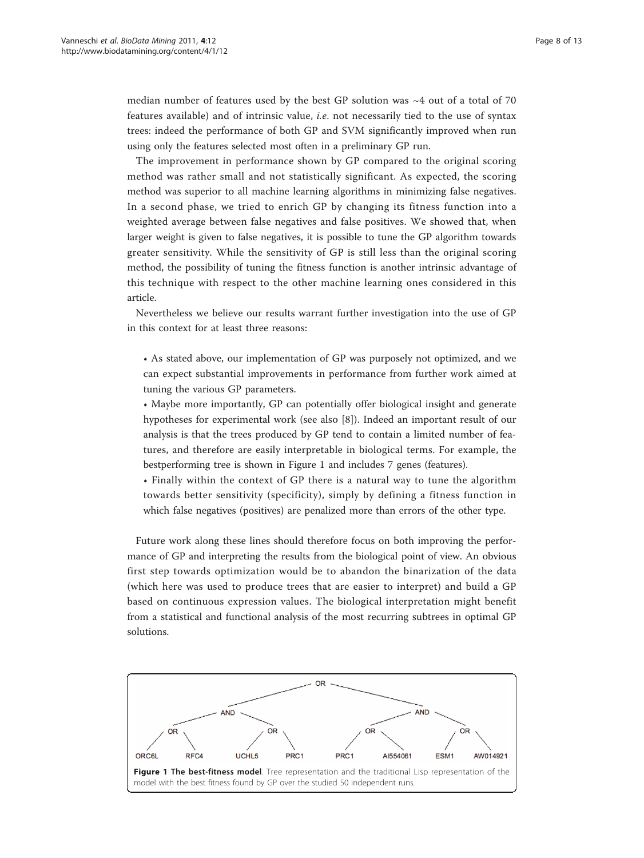median number of features used by the best GP solution was  $\sim$ 4 out of a total of 70 features available) and of intrinsic value, i.e. not necessarily tied to the use of syntax trees: indeed the performance of both GP and SVM significantly improved when run using only the features selected most often in a preliminary GP run.

The improvement in performance shown by GP compared to the original scoring method was rather small and not statistically significant. As expected, the scoring method was superior to all machine learning algorithms in minimizing false negatives. In a second phase, we tried to enrich GP by changing its fitness function into a weighted average between false negatives and false positives. We showed that, when larger weight is given to false negatives, it is possible to tune the GP algorithm towards greater sensitivity. While the sensitivity of GP is still less than the original scoring method, the possibility of tuning the fitness function is another intrinsic advantage of this technique with respect to the other machine learning ones considered in this article.

Nevertheless we believe our results warrant further investigation into the use of GP in this context for at least three reasons:

• As stated above, our implementation of GP was purposely not optimized, and we can expect substantial improvements in performance from further work aimed at tuning the various GP parameters.

• Maybe more importantly, GP can potentially offer biological insight and generate hypotheses for experimental work (see also [\[8](#page-11-0)]). Indeed an important result of our analysis is that the trees produced by GP tend to contain a limited number of features, and therefore are easily interpretable in biological terms. For example, the bestperforming tree is shown in Figure 1 and includes 7 genes (features).

• Finally within the context of GP there is a natural way to tune the algorithm towards better sensitivity (specificity), simply by defining a fitness function in which false negatives (positives) are penalized more than errors of the other type.

Future work along these lines should therefore focus on both improving the performance of GP and interpreting the results from the biological point of view. An obvious first step towards optimization would be to abandon the binarization of the data (which here was used to produce trees that are easier to interpret) and build a GP based on continuous expression values. The biological interpretation might benefit from a statistical and functional analysis of the most recurring subtrees in optimal GP solutions.

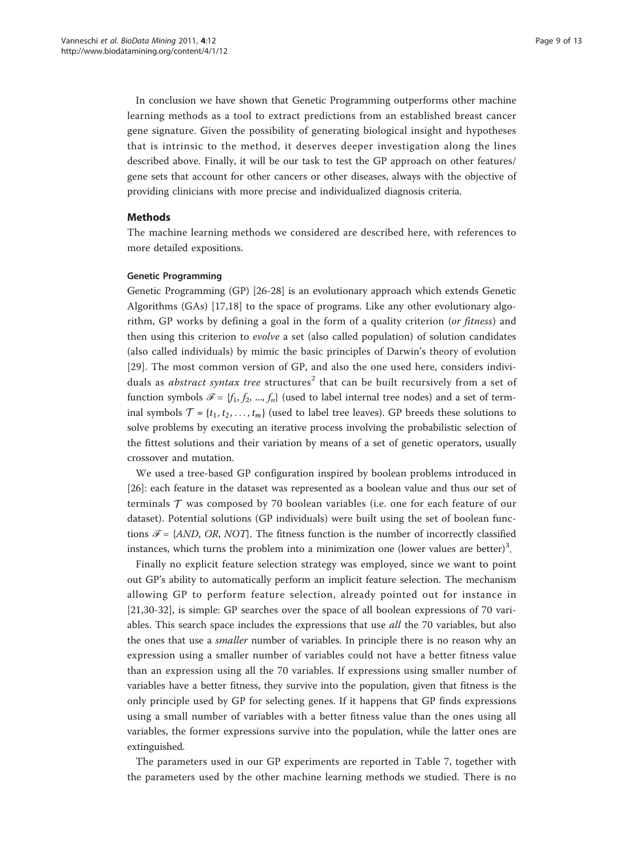In conclusion we have shown that Genetic Programming outperforms other machine learning methods as a tool to extract predictions from an established breast cancer gene signature. Given the possibility of generating biological insight and hypotheses that is intrinsic to the method, it deserves deeper investigation along the lines described above. Finally, it will be our task to test the GP approach on other features/ gene sets that account for other cancers or other diseases, always with the objective of providing clinicians with more precise and individualized diagnosis criteria.

# Methods

The machine learning methods we considered are described here, with references to more detailed expositions.

#### Genetic Programming

Genetic Programming (GP) [\[26-28](#page-12-0)] is an evolutionary approach which extends Genetic Algorithms (GAs) [[17,18](#page-12-0)] to the space of programs. Like any other evolutionary algorithm, GP works by defining a goal in the form of a quality criterion (or fitness) and then using this criterion to evolve a set (also called population) of solution candidates (also called individuals) by mimic the basic principles of Darwin's theory of evolution [[29\]](#page-12-0). The most common version of GP, and also the one used here, considers individuals as *abstract syntax tree* structures<sup>2</sup> that can be built recursively from a set of function symbols  $\mathcal{F} = \{f_1, f_2, ..., f_n\}$  (used to label internal tree nodes) and a set of terminal symbols  $\mathcal{T} = \{t_1, t_2, \ldots, t_m\}$  (used to label tree leaves). GP breeds these solutions to solve problems by executing an iterative process involving the probabilistic selection of the fittest solutions and their variation by means of a set of genetic operators, usually crossover and mutation.

We used a tree-based GP configuration inspired by boolean problems introduced in [[26\]](#page-12-0): each feature in the dataset was represented as a boolean value and thus our set of terminals *T* was composed by 70 boolean variables (i.e. one for each feature of our dataset). Potential solutions (GP individuals) were built using the set of boolean functions  $\mathcal{F} = \{AND, OR, NOT\}$ . The fitness function is the number of incorrectly classified instances, which turns the problem into a minimization one (lower values are better)<sup>3</sup>.

Finally no explicit feature selection strategy was employed, since we want to point out GP's ability to automatically perform an implicit feature selection. The mechanism allowing GP to perform feature selection, already pointed out for instance in [[21,30-32](#page-12-0)], is simple: GP searches over the space of all boolean expressions of 70 variables. This search space includes the expressions that use all the 70 variables, but also the ones that use a *smaller* number of variables. In principle there is no reason why an expression using a smaller number of variables could not have a better fitness value than an expression using all the 70 variables. If expressions using smaller number of variables have a better fitness, they survive into the population, given that fitness is the only principle used by GP for selecting genes. If it happens that GP finds expressions using a small number of variables with a better fitness value than the ones using all variables, the former expressions survive into the population, while the latter ones are extinguished.

The parameters used in our GP experiments are reported in Table [7,](#page-9-0) together with the parameters used by the other machine learning methods we studied. There is no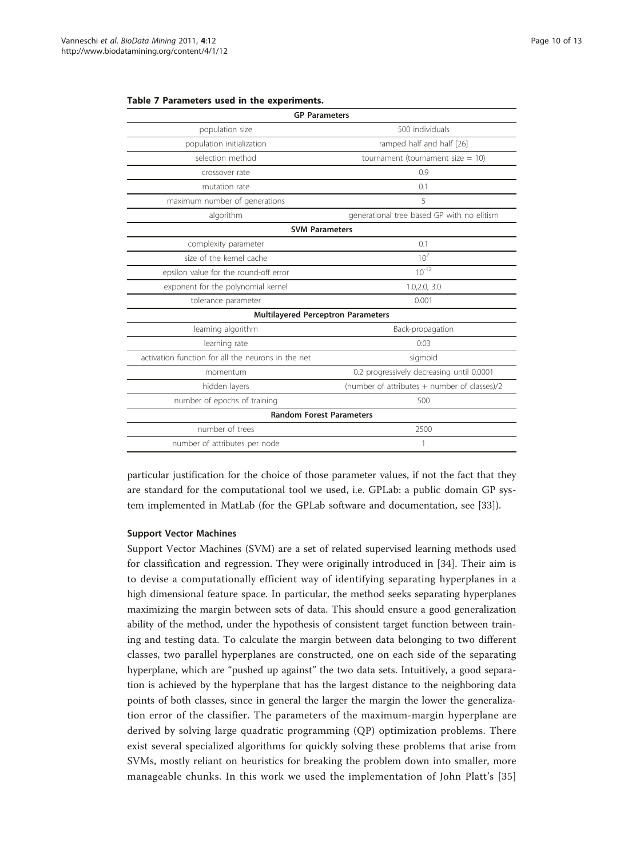|                                                    | <b>GP Parameters</b>                         |
|----------------------------------------------------|----------------------------------------------|
| population size                                    | 500 individuals                              |
| population initialization                          | ramped half and half [26]                    |
| selection method                                   | tournament (tournament size $= 10$ )         |
| crossover rate                                     | 0.9                                          |
| mutation rate                                      | 0.1                                          |
| maximum number of generations                      | 5                                            |
| algorithm                                          | generational tree based GP with no elitism   |
|                                                    | <b>SVM Parameters</b>                        |
| complexity parameter                               | 0.1                                          |
| size of the kernel cache                           | 10 <sup>7</sup>                              |
| epsilon value for the round-off error              | $10^{-12}$                                   |
| exponent for the polynomial kernel                 | 1.0, 2.0, 3.0                                |
| tolerance parameter                                | 0.001                                        |
|                                                    | <b>Multilayered Perceptron Parameters</b>    |
| learning algorithm                                 | Back-propagation                             |
| learning rate                                      | 0:03                                         |
| activation function for all the neurons in the net | sigmoid                                      |
| momentum                                           | 0.2 progressively decreasing until 0.0001    |
| hidden layers                                      | (number of attributes + number of classes)/2 |
| number of epochs of training                       | 500                                          |
|                                                    | <b>Random Forest Parameters</b>              |
| number of trees                                    | 2500                                         |
| number of attributes per node                      | 1                                            |

#### <span id="page-9-0"></span>Table 7 Parameters used in the experiments.

particular justification for the choice of those parameter values, if not the fact that they are standard for the computational tool we used, i.e. GPLab: a public domain GP system implemented in MatLab (for the GPLab software and documentation, see [\[33](#page-12-0)]).

# Support Vector Machines

Support Vector Machines (SVM) are a set of related supervised learning methods used for classification and regression. They were originally introduced in [[34\]](#page-12-0). Their aim is to devise a computationally efficient way of identifying separating hyperplanes in a high dimensional feature space. In particular, the method seeks separating hyperplanes maximizing the margin between sets of data. This should ensure a good generalization ability of the method, under the hypothesis of consistent target function between training and testing data. To calculate the margin between data belonging to two different classes, two parallel hyperplanes are constructed, one on each side of the separating hyperplane, which are "pushed up against" the two data sets. Intuitively, a good separation is achieved by the hyperplane that has the largest distance to the neighboring data points of both classes, since in general the larger the margin the lower the generalization error of the classifier. The parameters of the maximum-margin hyperplane are derived by solving large quadratic programming (QP) optimization problems. There exist several specialized algorithms for quickly solving these problems that arise from SVMs, mostly reliant on heuristics for breaking the problem down into smaller, more manageable chunks. In this work we used the implementation of John Platt's [[35](#page-12-0)]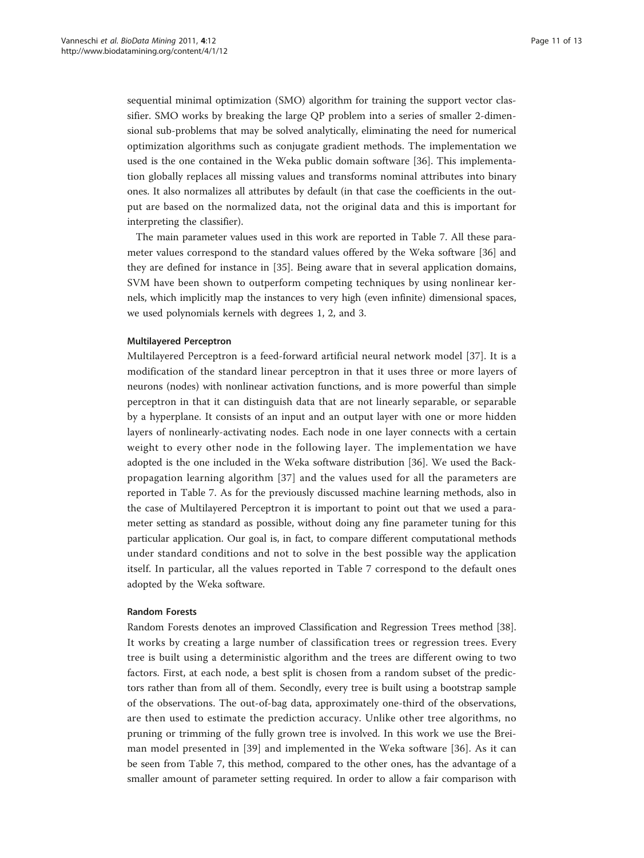sequential minimal optimization (SMO) algorithm for training the support vector classifier. SMO works by breaking the large QP problem into a series of smaller 2-dimensional sub-problems that may be solved analytically, eliminating the need for numerical optimization algorithms such as conjugate gradient methods. The implementation we used is the one contained in the Weka public domain software [\[36](#page-12-0)]. This implementation globally replaces all missing values and transforms nominal attributes into binary ones. It also normalizes all attributes by default (in that case the coefficients in the output are based on the normalized data, not the original data and this is important for interpreting the classifier).

The main parameter values used in this work are reported in Table [7.](#page-9-0) All these parameter values correspond to the standard values offered by the Weka software [\[36](#page-12-0)] and they are defined for instance in [[35\]](#page-12-0). Being aware that in several application domains, SVM have been shown to outperform competing techniques by using nonlinear kernels, which implicitly map the instances to very high (even infinite) dimensional spaces, we used polynomials kernels with degrees 1, 2, and 3.

# Multilayered Perceptron

Multilayered Perceptron is a feed-forward artificial neural network model [\[37](#page-12-0)]. It is a modification of the standard linear perceptron in that it uses three or more layers of neurons (nodes) with nonlinear activation functions, and is more powerful than simple perceptron in that it can distinguish data that are not linearly separable, or separable by a hyperplane. It consists of an input and an output layer with one or more hidden layers of nonlinearly-activating nodes. Each node in one layer connects with a certain weight to every other node in the following layer. The implementation we have adopted is the one included in the Weka software distribution [[36\]](#page-12-0). We used the Backpropagation learning algorithm [[37](#page-12-0)] and the values used for all the parameters are reported in Table [7](#page-9-0). As for the previously discussed machine learning methods, also in the case of Multilayered Perceptron it is important to point out that we used a parameter setting as standard as possible, without doing any fine parameter tuning for this particular application. Our goal is, in fact, to compare different computational methods under standard conditions and not to solve in the best possible way the application itself. In particular, all the values reported in Table [7](#page-9-0) correspond to the default ones adopted by the Weka software.

# Random Forests

Random Forests denotes an improved Classification and Regression Trees method [[38](#page-12-0)]. It works by creating a large number of classification trees or regression trees. Every tree is built using a deterministic algorithm and the trees are different owing to two factors. First, at each node, a best split is chosen from a random subset of the predictors rather than from all of them. Secondly, every tree is built using a bootstrap sample of the observations. The out-of-bag data, approximately one-third of the observations, are then used to estimate the prediction accuracy. Unlike other tree algorithms, no pruning or trimming of the fully grown tree is involved. In this work we use the Breiman model presented in [\[39](#page-12-0)] and implemented in the Weka software [\[36](#page-12-0)]. As it can be seen from Table [7,](#page-9-0) this method, compared to the other ones, has the advantage of a smaller amount of parameter setting required. In order to allow a fair comparison with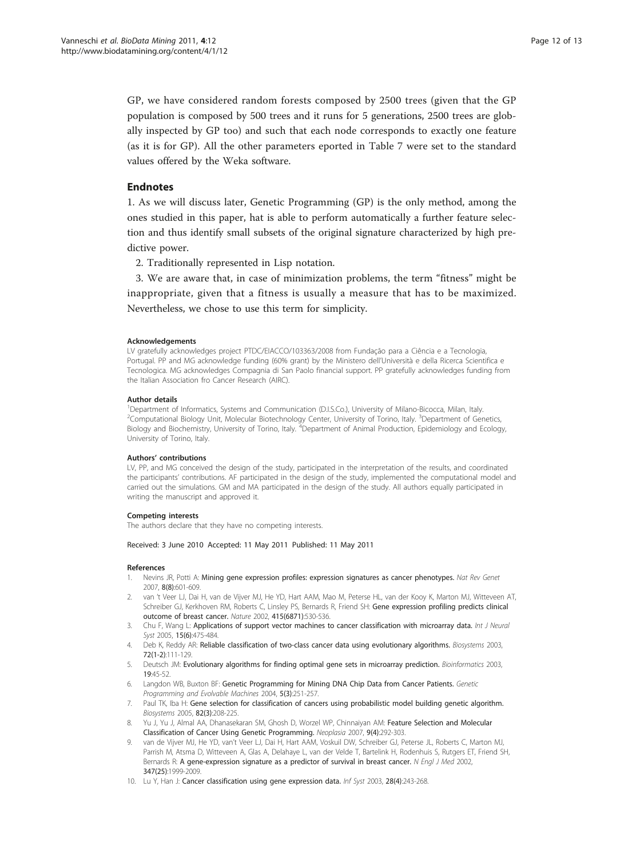<span id="page-11-0"></span>GP, we have considered random forests composed by 2500 trees (given that the GP population is composed by 500 trees and it runs for 5 generations, 2500 trees are globally inspected by GP too) and such that each node corresponds to exactly one feature (as it is for GP). All the other parameters eported in Table [7](#page-9-0) were set to the standard values offered by the Weka software.

# **Endnotes**

1. As we will discuss later, Genetic Programming (GP) is the only method, among the ones studied in this paper, hat is able to perform automatically a further feature selection and thus identify small subsets of the original signature characterized by high predictive power.

2. Traditionally represented in Lisp notation.

3. We are aware that, in case of minimization problems, the term "fitness" might be inappropriate, given that a fitness is usually a measure that has to be maximized. Nevertheless, we chose to use this term for simplicity.

#### Acknowledgements

LV gratefully acknowledges project PTDC/EIACCO/103363/2008 from Fundação para a Ciência e a Tecnologia, Portugal. PP and MG acknowledge funding (60% grant) by the Ministero dell'Università e della Ricerca Scientifica e Tecnologica. MG acknowledges Compagnia di San Paolo financial support. PP gratefully acknowledges funding from the Italian Association fro Cancer Research (AIRC).

#### Author details

<sup>1</sup>Department of Informatics, Systems and Communication (D.I.S.Co.), University of Milano-Bicocca, Milan, Italy. <sup>2</sup>Computational Biology Unit, Molecular Biotechnology Center, University of Torino, Italy. <sup>3</sup>Department of Genetics, Biology and Biochemistry, University of Torino, Italy. <sup>4</sup> Department of Animal Production, Epidemiology and Ecology, University of Torino, Italy.

#### Authors' contributions

LV, PP, and MG conceived the design of the study, participated in the interpretation of the results, and coordinated the participants' contributions. AF participated in the design of the study, implemented the computational model and carried out the simulations. GM and MA participated in the design of the study. All authors equally participated in writing the manuscript and approved it.

#### Competing interests

The authors declare that they have no competing interests.

### Received: 3 June 2010 Accepted: 11 May 2011 Published: 11 May 2011

#### References

- 1. Nevins JR, Potti A: [Mining gene expression profiles: expression signatures as cancer phenotypes.](http://www.ncbi.nlm.nih.gov/pubmed/17607306?dopt=Abstract) Nat Rev Genet 2007, 8(8):601-609.
- 2. van 't Veer LJ, Dai H, van de Vijver MJ, He YD, Hart AAM, Mao M, Peterse HL, van der Kooy K, Marton MJ, Witteveen AT, Schreiber GJ, Kerkhoven RM, Roberts C, Linsley PS, Bernards R, Friend SH: [Gene expression profiling predicts clinical](http://www.ncbi.nlm.nih.gov/pubmed/11823860?dopt=Abstract) [outcome of breast cancer.](http://www.ncbi.nlm.nih.gov/pubmed/11823860?dopt=Abstract) Nature 2002, 415(6871):530-536.
- 3. Chu F, Wang L: [Applications of support vector machines to cancer classification with microarray data.](http://www.ncbi.nlm.nih.gov/pubmed/16385636?dopt=Abstract) Int J Neural Syst 2005, 15(6):475-484.
- 4. Deb K, Reddy AR: [Reliable classification of two-class cancer data using evolutionary algorithms.](http://www.ncbi.nlm.nih.gov/pubmed/14642662?dopt=Abstract) Biosystems 2003, 72(1-2):111-129.
- 5. Deutsch JM: [Evolutionary algorithms for finding optimal gene sets in microarray prediction.](http://www.ncbi.nlm.nih.gov/pubmed/12499292?dopt=Abstract) Bioinformatics 2003, 19:45-52.
- 6. Langdon WB, Buxton BF: Genetic Programming for Mining DNA Chip Data from Cancer Patients. Genetic Programming and Evolvable Machines 2004, 5(3):251-257.
- 7. Paul TK, Iba H: [Gene selection for classification of cancers using probabilistic model building genetic algorithm.](http://www.ncbi.nlm.nih.gov/pubmed/16112804?dopt=Abstract) Biosystems 2005, 82(3):208-225.
- 8. Yu J, Yu J, Almal AA, Dhanasekaran SM, Ghosh D, Worzel WP, Chinnaiyan AM: [Feature Selection and Molecular](http://www.ncbi.nlm.nih.gov/pubmed/17460773?dopt=Abstract) [Classification of Cancer Using Genetic Programming.](http://www.ncbi.nlm.nih.gov/pubmed/17460773?dopt=Abstract) Neoplasia 2007, 9(4):292-303.
- 9. van de Vijver MJ, He YD, van't Veer LJ, Dai H, Hart AAM, Voskuil DW, Schreiber GJ, Peterse JL, Roberts C, Marton MJ, Parrish M, Atsma D, Witteveen A, Glas A, Delahaye L, van der Velde T, Bartelink H, Rodenhuis S, Rutgers ET, Friend SH, Bernards R: [A gene-expression signature as a predictor of survival in breast cancer.](http://www.ncbi.nlm.nih.gov/pubmed/12490681?dopt=Abstract) N Engl J Med 2002, 347(25):1999-2009.
- 10. Lu Y, Han J: Cancer classification using gene expression data. Inf Syst 2003, 28(4):243-268.